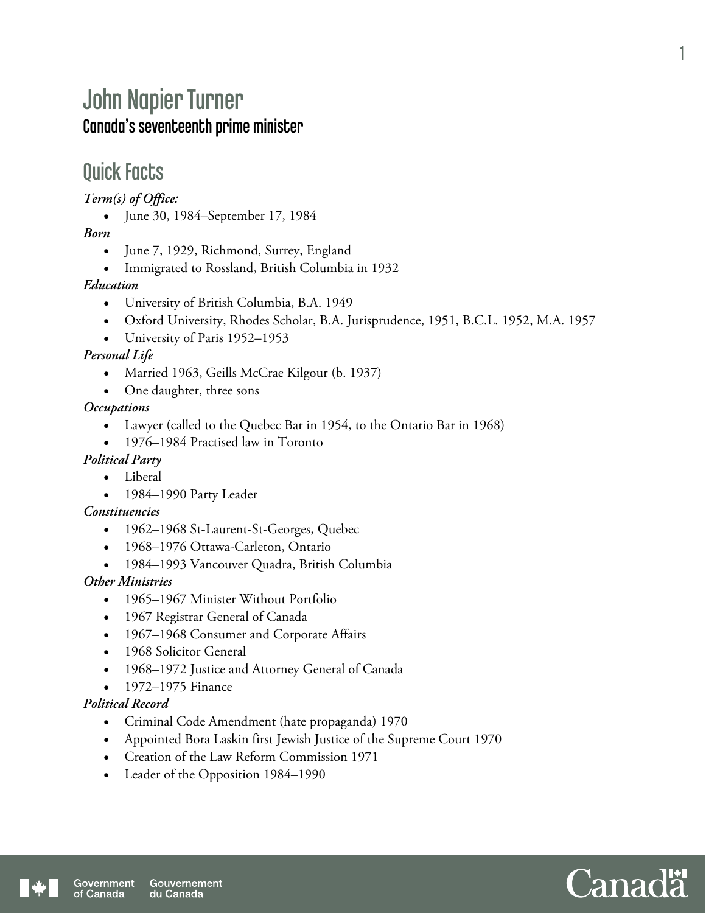# John Napier Turner Canada's seventeenth prime minister

# Quick Facts

*Term(s) of Office:* 

June 30, 1984–September 17, 1984

## *Born*

- June 7, 1929, Richmond, Surrey, England
- Immigrated to Rossland, British Columbia in 1932

#### *Education*

- University of British Columbia, B.A. 1949
- Oxford University, Rhodes Scholar, B.A. Jurisprudence, 1951, B.C.L. 1952, M.A. 1957
- University of Paris 1952–1953

## *Personal Life*

- Married 1963, Geills McCrae Kilgour (b. 1937)
- One daughter, three sons

## *Occupations*

- Lawyer (called to the Quebec Bar in 1954, to the Ontario Bar in 1968)
- 1976–1984 Practised law in Toronto

## *Political Party*

- Liberal
- 1984–1990 Party Leader

#### *Constituencies*

- 1962–1968 St-Laurent-St-Georges, Quebec
- 1968–1976 Ottawa-Carleton, Ontario
- 1984–1993 Vancouver Quadra, British Columbia

## *Other Ministries*

- 1965–1967 Minister Without Portfolio
- 1967 Registrar General of Canada
- 1967–1968 Consumer and Corporate Affairs
- 1968 Solicitor General
- 1968–1972 Justice and Attorney General of Canada
- 1972–1975 Finance

#### *Political Record*

- Criminal Code Amendment (hate propaganda) 1970
- Appointed Bora Laskin first Jewish Justice of the Supreme Court 1970
- Creation of the Law Reform Commission 1971
- Leader of the Opposition 1984–1990

1

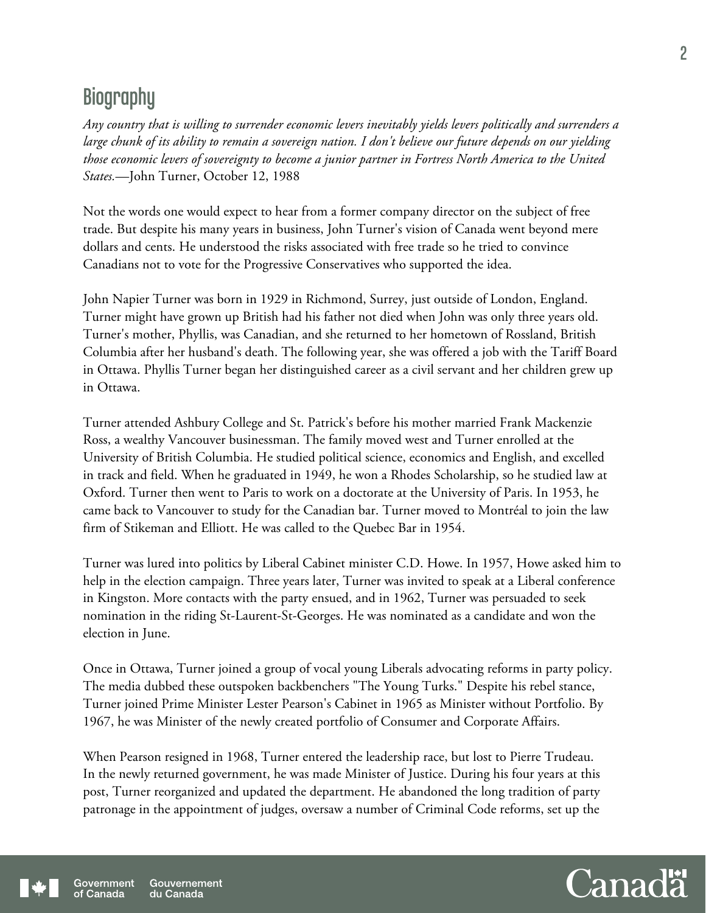# **Biography**

*Any country that is willing to surrender economic levers inevitably yields levers politically and surrenders a large chunk of its ability to remain a sovereign nation. I don't believe our future depends on our yielding those economic levers of sovereignty to become a junior partner in Fortress North America to the United States.*—John Turner, October 12, 1988

Not the words one would expect to hear from a former company director on the subject of free trade. But despite his many years in business, John Turner's vision of Canada went beyond mere dollars and cents. He understood the risks associated with free trade so he tried to convince Canadians not to vote for the Progressive Conservatives who supported the idea.

John Napier Turner was born in 1929 in Richmond, Surrey, just outside of London, England. Turner might have grown up British had his father not died when John was only three years old. Turner's mother, Phyllis, was Canadian, and she returned to her hometown of Rossland, British Columbia after her husband's death. The following year, she was offered a job with the Tariff Board in Ottawa. Phyllis Turner began her distinguished career as a civil servant and her children grew up in Ottawa.

Turner attended Ashbury College and St. Patrick's before his mother married Frank Mackenzie Ross, a wealthy Vancouver businessman. The family moved west and Turner enrolled at the University of British Columbia. He studied political science, economics and English, and excelled in track and field. When he graduated in 1949, he won a Rhodes Scholarship, so he studied law at Oxford. Turner then went to Paris to work on a doctorate at the University of Paris. In 1953, he came back to Vancouver to study for the Canadian bar. Turner moved to Montréal to join the law firm of Stikeman and Elliott. He was called to the Quebec Bar in 1954.

Turner was lured into politics by Liberal Cabinet minister C.D. Howe. In 1957, Howe asked him to help in the election campaign. Three years later, Turner was invited to speak at a Liberal conference in Kingston. More contacts with the party ensued, and in 1962, Turner was persuaded to seek nomination in the riding St-Laurent-St-Georges. He was nominated as a candidate and won the election in June.

Once in Ottawa, Turner joined a group of vocal young Liberals advocating reforms in party policy. The media dubbed these outspoken backbenchers "The Young Turks." Despite his rebel stance, Turner joined Prime Minister Lester Pearson's Cabinet in 1965 as Minister without Portfolio. By 1967, he was Minister of the newly created portfolio of Consumer and Corporate Affairs.

When Pearson resigned in 1968, Turner entered the leadership race, but lost to Pierre Trudeau. In the newly returned government, he was made Minister of Justice. During his four years at this post, Turner reorganized and updated the department. He abandoned the long tradition of party patronage in the appointment of judges, oversaw a number of Criminal Code reforms, set up the

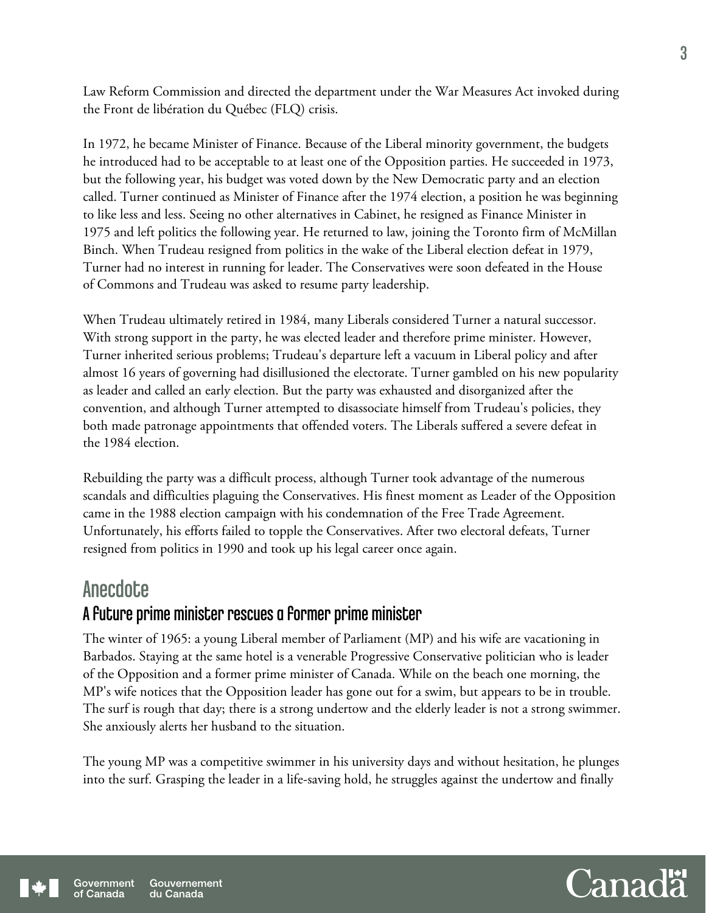Law Reform Commission and directed the department under the War Measures Act invoked during the Front de libération du Québec (FLQ) crisis.

In 1972, he became Minister of Finance. Because of the Liberal minority government, the budgets he introduced had to be acceptable to at least one of the Opposition parties. He succeeded in 1973, but the following year, his budget was voted down by the New Democratic party and an election called. Turner continued as Minister of Finance after the 1974 election, a position he was beginning to like less and less. Seeing no other alternatives in Cabinet, he resigned as Finance Minister in 1975 and left politics the following year. He returned to law, joining the Toronto firm of McMillan Binch. When Trudeau resigned from politics in the wake of the Liberal election defeat in 1979, Turner had no interest in running for leader. The Conservatives were soon defeated in the House of Commons and Trudeau was asked to resume party leadership.

When Trudeau ultimately retired in 1984, many Liberals considered Turner a natural successor. With strong support in the party, he was elected leader and therefore prime minister. However, Turner inherited serious problems; Trudeau's departure left a vacuum in Liberal policy and after almost 16 years of governing had disillusioned the electorate. Turner gambled on his new popularity as leader and called an early election. But the party was exhausted and disorganized after the convention, and although Turner attempted to disassociate himself from Trudeau's policies, they both made patronage appointments that offended voters. The Liberals suffered a severe defeat in the 1984 election.

Rebuilding the party was a difficult process, although Turner took advantage of the numerous scandals and difficulties plaguing the Conservatives. His finest moment as Leader of the Opposition came in the 1988 election campaign with his condemnation of the Free Trade Agreement. Unfortunately, his efforts failed to topple the Conservatives. After two electoral defeats, Turner resigned from politics in 1990 and took up his legal career once again.

# **Anecdote**

## A future prime minister rescues a former prime minister

The winter of 1965: a young Liberal member of Parliament (MP) and his wife are vacationing in Barbados. Staying at the same hotel is a venerable Progressive Conservative politician who is leader of the Opposition and a former prime minister of Canada. While on the beach one morning, the MP's wife notices that the Opposition leader has gone out for a swim, but appears to be in trouble. The surf is rough that day; there is a strong undertow and the elderly leader is not a strong swimmer. She anxiously alerts her husband to the situation.

The young MP was a competitive swimmer in his university days and without hesitation, he plunges into the surf. Grasping the leader in a life-saving hold, he struggles against the undertow and finally